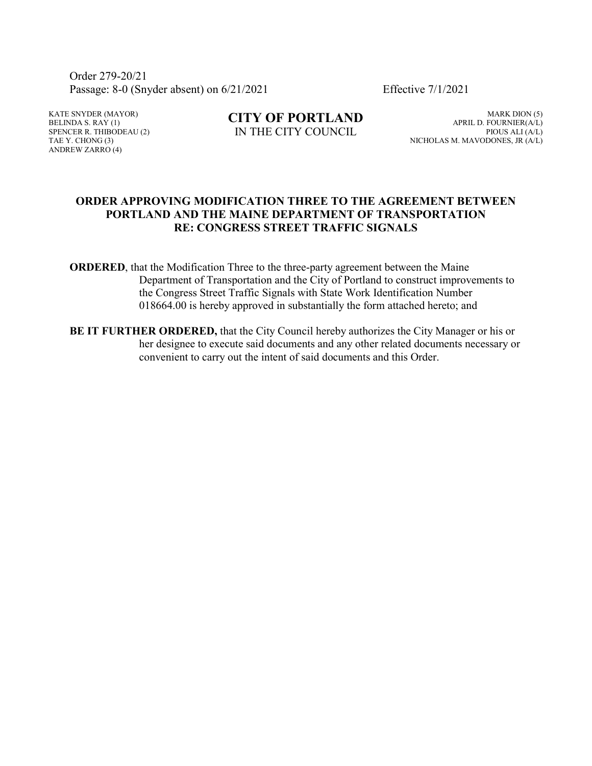Order 279-20/21 Passage: 8-0 (Snyder absent) on 6/21/2021 Effective 7/1/2021

KATE SNYDER (MAYOR) BELINDA S. RAY  $(1)$ SPENCER R. THIBODEAU (2) TAE Y. CHONG (3) ANDREW ZARRO (4)

**CITY OF PORTLAND** IN THE CITY COUNCIL

MARK DION (5) APRIL D. FOURNIER(A/L) PIOUS ALI (A/L) NICHOLAS M. MAVODONES, JR (A/L)

#### **ORDER APPROVING MODIFICATION THREE TO THE AGREEMENT BETWEEN PORTLAND AND THE MAINE DEPARTMENT OF TRANSPORTATION RE: CONGRESS STREET TRAFFIC SIGNALS**

**ORDERED**, that the Modification Three to the three-party agreement between the Maine Department of Transportation and the City of Portland to construct improvements to the Congress Street Traffic Signals with State Work Identification Number 018664.00 is hereby approved in substantially the form attached hereto; and

**BE IT FURTHER ORDERED,** that the City Council hereby authorizes the City Manager or his or her designee to execute said documents and any other related documents necessary or convenient to carry out the intent of said documents and this Order.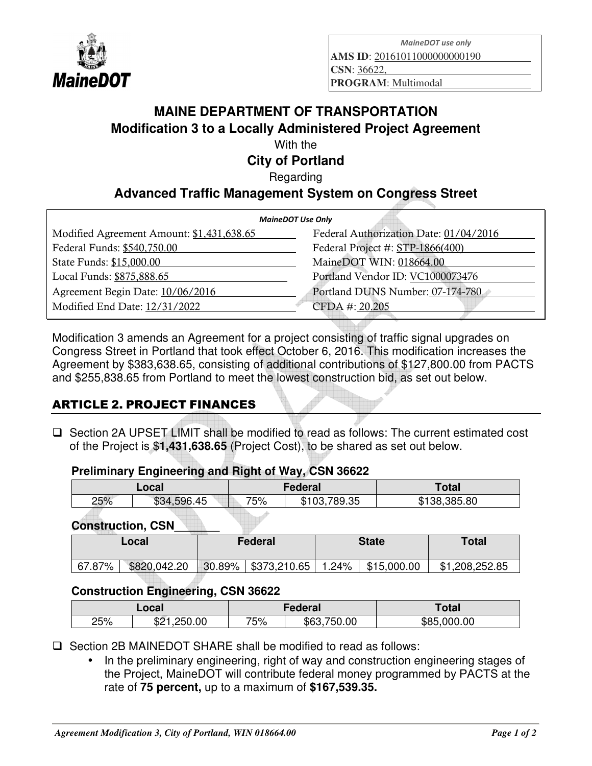

*MaineDOT use only* 

**AMS ID**: 20161011000000000190

**CSN**: 36622,

**PROGRAM**: Multimodal

# **MAINE DEPARTMENT OF TRANSPORTATION Modification 3 to a Locally Administered Project Agreement**

With the

**City of Portland** 

**Regarding** 

## **Advanced Traffic Management System on Congress Street**

| <b>MaineDOT Use Only</b>               |  |  |  |  |
|----------------------------------------|--|--|--|--|
| Federal Authorization Date: 01/04/2016 |  |  |  |  |
| Federal Project #: STP-1866(400)       |  |  |  |  |
| MaineDOT WIN: 018664.00                |  |  |  |  |
| Portland Vendor ID: VC1000073476       |  |  |  |  |
| Portland DUNS Number: 07-174-780       |  |  |  |  |
| CFDA #: 20.205                         |  |  |  |  |
|                                        |  |  |  |  |

Modification 3 amends an Agreement for a project consisting of traffic signal upgrades on Congress Street in Portland that took effect October 6, 2016. This modification increases the Agreement by \$383,638.65, consisting of additional contributions of \$127,800.00 from PACTS and \$255,838.65 from Portland to meet the lowest construction bid, as set out below.

## ARTICLE 2. PROJECT FINANCES

 Section 2A UPSET LIMIT shall be modified to read as follows: The current estimated cost of the Project is \$**1,431,638.65** (Project Cost), to be shared as set out below.

#### **Preliminary Engineering and Right of Way, CSN 36622**

| Local |                    |     | Federal                                | ⊺otal            |  |
|-------|--------------------|-----|----------------------------------------|------------------|--|
| 25%   | .45<br>596<br>\$34 | 75% | 789.35<br>.102.<br>₼ 4<br>JD.<br>ບວ.ບບ | 138.385.80<br>J. |  |
|       |                    |     |                                        |                  |  |

**Construction, CSN**\_\_\_\_\_\_\_

|        | Local        | Federal |                          | <b>State</b> |             | Total          |
|--------|--------------|---------|--------------------------|--------------|-------------|----------------|
| 67.87% | \$820,042.20 |         | $30.89\%$   \$373,210.65 | 1.24%        | \$15,000.00 | \$1,208,252.85 |

#### **Construction Engineering, CSN 36622**

| Local |                      |     | Federal         | Γotal          |  |
|-------|----------------------|-----|-----------------|----------------|--|
| 25%   | .250.00<br>ጦጣ<br>ے ت | 75% | .750.00<br>\$63 | \$85<br>000.00 |  |

 $\Box$  Section 2B MAINEDOT SHARE shall be modified to read as follows:

• In the preliminary engineering, right of way and construction engineering stages of the Project, MaineDOT will contribute federal money programmed by PACTS at the rate of **75 percent,** up to a maximum of **\$167,539.35.**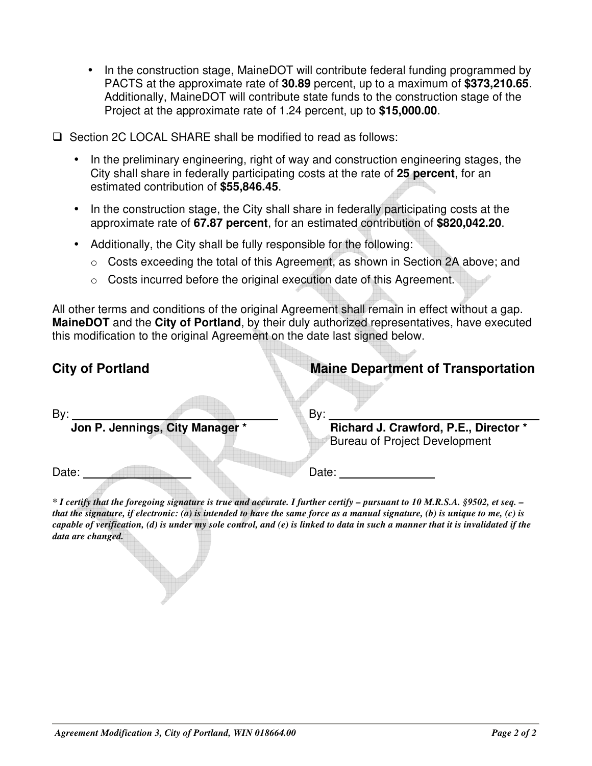- In the construction stage, MaineDOT will contribute federal funding programmed by PACTS at the approximate rate of **30.89** percent, up to a maximum of **\$373,210.65**. Additionally, MaineDOT will contribute state funds to the construction stage of the Project at the approximate rate of 1.24 percent, up to **\$15,000.00**.
- $\square$  Section 2C LOCAL SHARE shall be modified to read as follows:
	- In the preliminary engineering, right of way and construction engineering stages, the City shall share in federally participating costs at the rate of **25 percent**, for an estimated contribution of **\$55,846.45**.
	- In the construction stage, the City shall share in federally participating costs at the approximate rate of **67.87 percent**, for an estimated contribution of **\$820,042.20**.
	- Additionally, the City shall be fully responsible for the following:
		- o Costs exceeding the total of this Agreement, as shown in Section 2A above; and
		- o Costs incurred before the original execution date of this Agreement.

All other terms and conditions of the original Agreement shall remain in effect without a gap. **MaineDOT** and the **City of Portland**, by their duly authorized representatives, have executed this modification to the original Agreement on the date last signed below.

# **City of Portland City of Portland City of Portland City of Portland City of Portland City of Portland City of Portland City of Portland City of Portland City of Portland City of Portland City of Portland City of Portland**

| By:                             |  |
|---------------------------------|--|
| Jon P. Jennings, City Manager * |  |

**All Street, South Branch** 

**Richard J. Crawford, P.E., Director \*** Bureau of Project Development

Date: Date: Date:

*\* I certify that the foregoing signature is true and accurate. I further certify – pursuant to 10 M.R.S.A. §9502, et seq. – that the signature, if electronic: (a) is intended to have the same force as a manual signature, (b) is unique to me, (c) is capable of verification, (d) is under my sole control, and (e) is linked to data in such a manner that it is invalidated if the data are changed.*